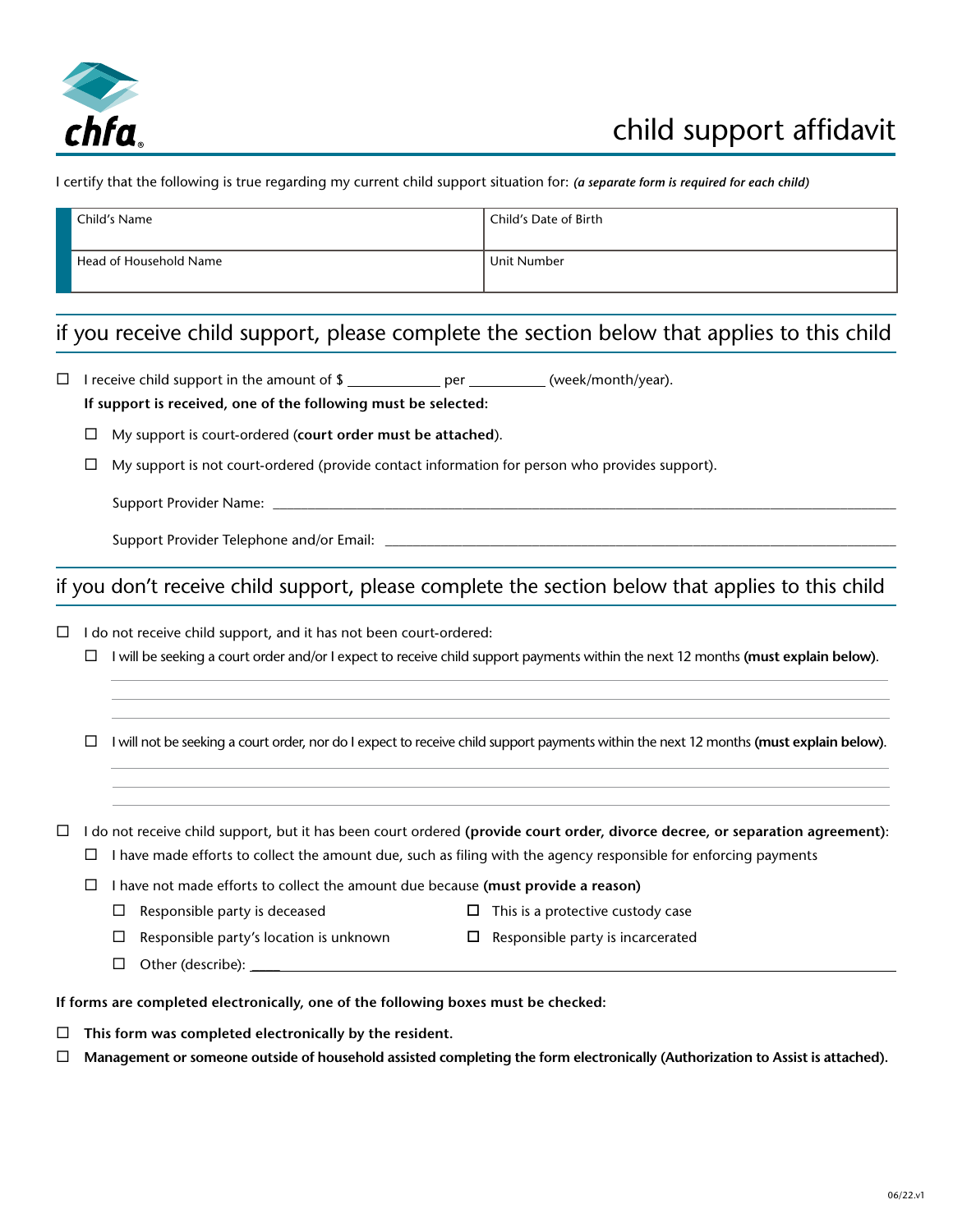

I certify that the following is true regarding my current child support situation for: *(a separate form is required for each child)*

| Child's Name           | <sup>1</sup> Child's Date of Birth |
|------------------------|------------------------------------|
| Head of Household Name | Unit Number                        |

## if you receive child support, please complete the section below that applies to this child

 $\Box$  I receive child support in the amount of  $\Omega$  per \_\_\_\_\_\_\_\_\_\_\_ (week/month/year).  **If support is received, one of the following must be selected:** My support is court-ordered (**court order must be attached**).  $\Box$  My support is not court-ordered (provide contact information for person who provides support). Support Provider Name: \_ Support Provider Telephone and/or Email: \_\_\_\_\_\_ if you don't receive child support, please complete the section below that applies to this child  $\Box$  I do not receive child support, and it has not been court-ordered: I will be seeking a court order and/or I expect to receive child support payments within the next 12 months **(must explain below)**.  $\Box$  I will not be seeking a court order, nor do I expect to receive child support payments within the next 12 months (must explain below).  $\Box$  I do not receive child support, but it has been court ordered (provide court order, divorce decree, or separation agreement):  $\Box$  I have made efforts to collect the amount due, such as filing with the agency responsible for enforcing payments I have not made efforts to collect the amount due because **(must provide a reason)**  $\Box$  Responsible party is deceased  $\Box$  This is a protective custody case  $\Box$  Responsible party's location is unknown  $\Box$  Responsible party is incarcerated  $\Box$  Other (describe):  $\_\_$ **If forms are completed electronically, one of the following boxes must be checked:**

- **This form was completed electronically by the resident.**
- **Management or someone outside of household assisted completing the form electronically (Authorization to Assist is attached).**